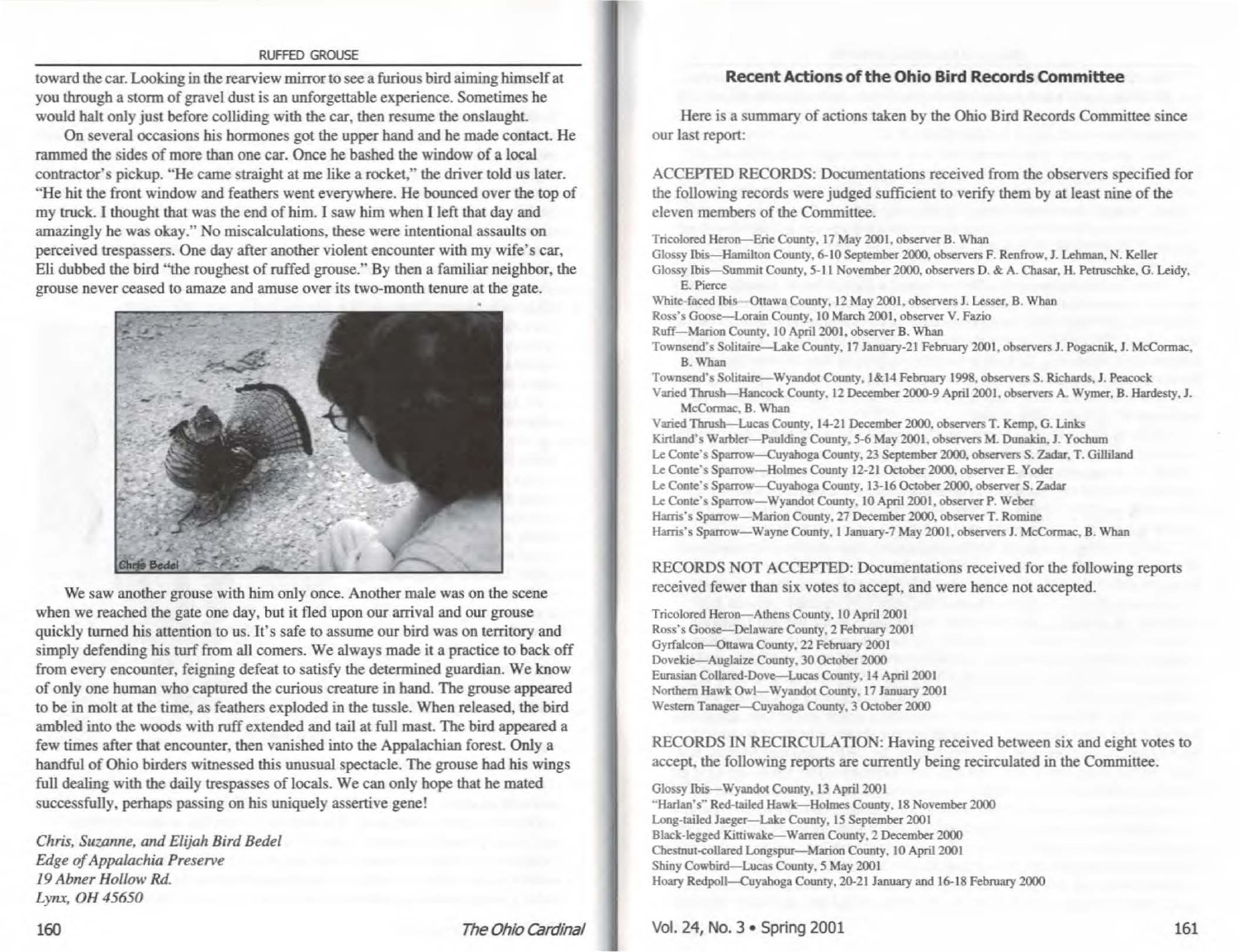## RUFFED GROUSE

toward the car. Looking in the rearview mirror to see a furious bird aiming himself at you through a storm of gravel dust is an unforgettable experience. Sometimes be would halt only just before colliding with the car, then resume the onslaught

On several occasions his hormones got the upper hand and be made contact He rammed the sides of more than one car. Once he bashed the window of a local contractor's pickup. "He came straight at me like a rocket," the driver told us later. "He hit the front window and feathers went everywhere. He bounced over the top of my truck. I thought that was the end of him. I saw him when I left that day and amazingly be was okay." No miscalculations, these were intentional assaults on perceived trespassers. One day after another violent encounter with my wife's car, Eli dubbed the bird ''the roughest of ruffed grouse." By then a familiar neighbor, the grouse never ceased to amaze and amuse over its two-month tenure at the gate.



We saw another grouse with him only once. Another male was on the scene when we reached the gate one day, but it fled upon our arrival and our grouse quickly turned his attention to us. It's safe to assume our bird was on territory and simply defending his turf from all comers. We always made it a practice to back off from every encounter, feigning defeat to satisfy the determined guardian. We know of only one human who captured the curious creature in hand. The grouse appeared to be in molt at the time, as feathers exploded in the tussle. When released, the bird ambled into the woods with ruff extended and tail at full mast. The bird appeared a few times after that encounter, then vanished into the Appalachian forest. Only a handful of Ohio birders witnessed this unusual spectacle. The grouse had his wings full dealing with the daily trespasses of locals. We can only hope that be mated successfully, perhaps passing on his uniquely assertive gene!

*Chris, Suz.anne, and Elijah Bird Bede/ &ige of Appalachia Preserve 19 Abner Hollow Rd.*  Lynx, OH 45650

## **Recent Actions of the Ohio Bird Records Committee**

Here is a summary of actions taken by the Ohio Bird Records Committee since our last report:

ACCEPTED RECORDS: Documentations received from the observers specified for the following records were judged sufficient to verify them by at least nine of the eleven members of the Committee.

Tricolored Heron-Erie County. 17 May 2001, observer B. Whan Glossy Ibis-Hamilton County, 6-10 September2000. observers F. Renfrow, J. Lehman, N. Keller Glossy Ibis-Summit County, 5-11 November 2000, observers D. & A. Chasar, H. Petruschke, G. Leidy, E. Pierce White-faced Ibis - Ottawa County, 12 May 2001, observers J. Lesser, B. Whan Ross's Goose-Lorain County, 10 March 2001, observer V. Fazio Ruff-Marion County, 10 April 2001, observer B. Whan Townsend's Solitaire-Lake County, 17 January-21 February 2001, observers J. Pogacnik, J. McCormac, B. Whan Townsend"s Solitaire-Wyandot County, 1&14 February 1998, observers S. Richards, J. Peacock Varied Thrush-Hancock County. 12 December 2000.9 April 2001, observers A. Wymer, B. Hardesty, J. McConnac. B. Whan Varied Thrush-Lucas County, 14-21 December 2000, observers T. Kemp, G. Links Kirtland's Warbler-Paulding County, 5-6 May 2001, observers M. Dunakin, J. Yochum Le Conte's Sparrow-Cuyahoga County, 23 September 2000, observers S. Zadar, T. Gilliland Le Conte's Sparrow-Holmes County 12-21 October 2000, observer E. Yoder Le Conte's Sparrow-Cuyahoga County, 13-16 October 2000, observer S. Zadar Le Conte's Sparrow-Wyandot County, 10 April 2001, observer P. Weber Harris"s Sparrow-Marion County, 27 December 2000, observer T. Romine Harris's Sparrow-Wayne County, 1 January-7 May 2001, observers J. McCormac, B. Whan

RECORDS NOT ACCEPTED: Documentations received for the following reports received fewer than six votes to accept, and were hence not accepted.

Tricolored Heron-Athens County, lOApril 2001 Ross's Goose-Delaware County, 2 February 2001 Gyrfalcon-Ottawa County, 22 February 2001 Dovekie-Auglaize County, 30 October 2000 Eurasian Collared-Dove-Lucas County, 14 April 2001 Northern Hawk Owl-Wyandot County, 17 January 2001 Western Tanager-Cuyahoga County. 3 October 2000

RECORDS IN RECIRCULATION: Having received between six and eight votes to accept, the following reports are currently being recirculated in the Committee.

Glossy Ibis-Wyandot County, 13 April 2001 "Harlan's" Red-tailed Hawk---Holmes County, 18 November 2000 Long-tailed Jaeger-Lake County, 15 September 2001 Black-legged Kittiwake-Warren County, 2 December 2000 Chestnut-collared Longspur-Marion County. 10 April 2001 Shiny Cowbird-Lucas County, *5* May 2001 Hoary Redpoll-Cuyahoga County, 20-21 January and 16-18 February 2000